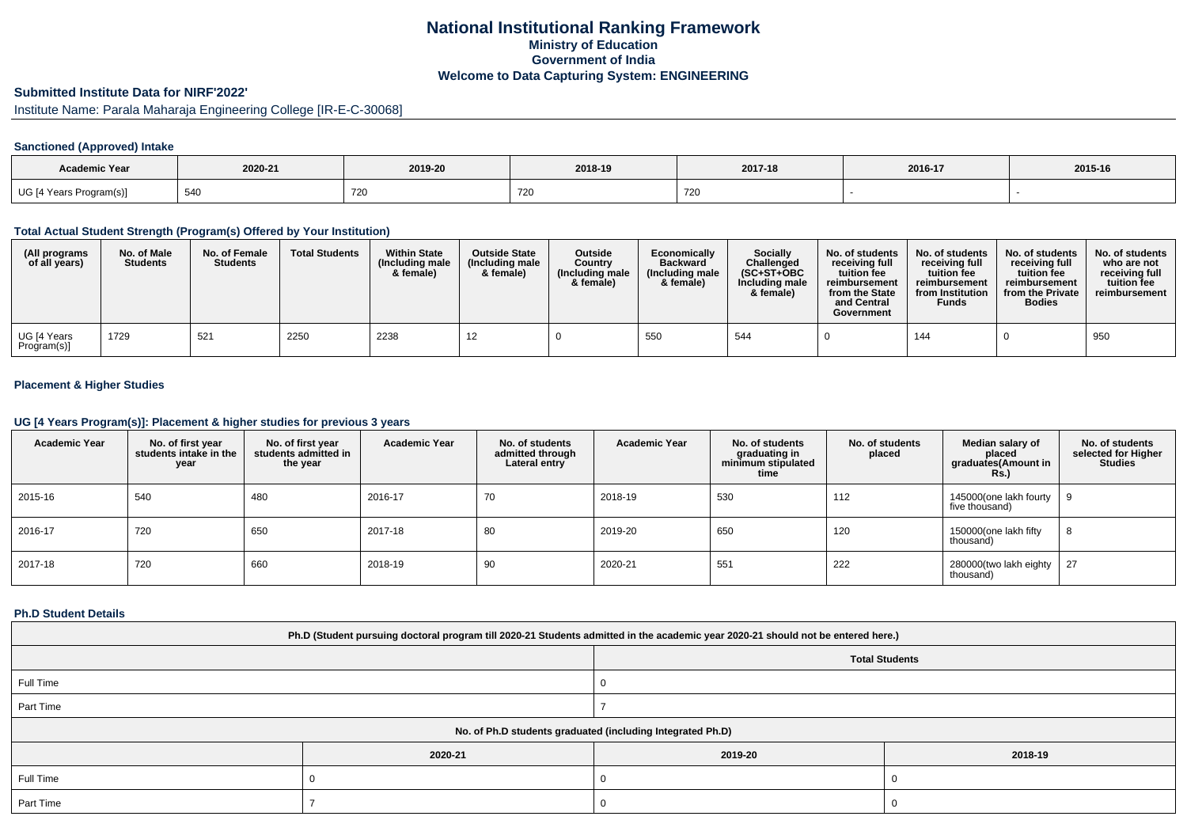## **National Institutional Ranking FrameworkMinistry of Education Government of IndiaWelcome to Data Capturing System: ENGINEERING**

# **Submitted Institute Data for NIRF'2022'**

Institute Name: Parala Maharaja Engineering College [IR-E-C-30068]

### **Sanctioned (Approved) Intake**

| <b>Academic Year</b>    | 2020-21     | 2019-20                          | 2018-19       | 2017-18 | 2016-17 | 2015-16 |
|-------------------------|-------------|----------------------------------|---------------|---------|---------|---------|
| UG [4 Years Program(s)] | FAC<br>54 U | $\overline{\phantom{a}}$<br>72 L | $ -$<br>- 720 | 720     |         |         |

#### **Total Actual Student Strength (Program(s) Offered by Your Institution)**

| (All programs<br>of all years) | No. of Male<br><b>Students</b> | No. of Female<br><b>Students</b> | <b>Total Students</b> | <b>Within State</b><br>(Including male<br>& female) | <b>Outside State</b><br>(Including male<br>& female) | <b>Outside</b><br>Country<br>(Including male<br>& female) | Economically<br><b>Backward</b><br>(Including male<br>& female) | Socially<br>Challenged<br>$(SC+ST+OBC$<br>Including male<br>& female) | No. of students<br>receiving full<br>tuition fee<br>reimbursement<br>from the State<br>and Central<br>Government | No. of students<br>receiving full<br>tuition fee<br>reimbursement<br>from Institution<br><b>Funds</b> | No. of students<br>receiving full<br>tuition fee<br>reimbursement<br>from the Private<br><b>Bodies</b> | No. of students<br>who are not<br>receiving full<br>tuition fee<br>reimbursement |
|--------------------------------|--------------------------------|----------------------------------|-----------------------|-----------------------------------------------------|------------------------------------------------------|-----------------------------------------------------------|-----------------------------------------------------------------|-----------------------------------------------------------------------|------------------------------------------------------------------------------------------------------------------|-------------------------------------------------------------------------------------------------------|--------------------------------------------------------------------------------------------------------|----------------------------------------------------------------------------------|
| UG [4 Years<br>Program(s)]     | 1729                           | 521                              | 2250                  | 2238                                                |                                                      |                                                           | 550                                                             | 544                                                                   |                                                                                                                  | 144                                                                                                   |                                                                                                        | 950                                                                              |

### **Placement & Higher Studies**

#### **UG [4 Years Program(s)]: Placement & higher studies for previous 3 years**

| <b>Academic Year</b> | No. of first year<br>students intake in the<br>year | No. of first vear<br>students admitted in<br>the year | <b>Academic Year</b> | No. of students<br>admitted through<br>Lateral entry | <b>Academic Year</b> | No. of students<br>graduating in<br>minimum stipulated<br>time | No. of students<br>placed | Median salary of<br>placed<br>graduates(Amount in<br><b>Rs.)</b> | No. of students<br>selected for Higher<br><b>Studies</b> |
|----------------------|-----------------------------------------------------|-------------------------------------------------------|----------------------|------------------------------------------------------|----------------------|----------------------------------------------------------------|---------------------------|------------------------------------------------------------------|----------------------------------------------------------|
| 2015-16              | 540                                                 | 480                                                   | 2016-17              | 70                                                   | 2018-19              | 530                                                            | 112                       | 145000(one lakh fourty<br>five thousand)                         |                                                          |
| 2016-17              | 720                                                 | 650                                                   | 2017-18              | 80                                                   | 2019-20              | 650                                                            | 120                       | 150000(one lakh fifty<br>thousand)                               |                                                          |
| 2017-18              | 720                                                 | 660                                                   | 2018-19              | 90                                                   | 2020-21              | 551                                                            | 222                       | 280000(two lakh eighty<br>thousand)                              | 27                                                       |

#### **Ph.D Student Details**

| Ph.D (Student pursuing doctoral program till 2020-21 Students admitted in the academic year 2020-21 should not be entered here.) |                                                            |                       |         |  |  |  |  |
|----------------------------------------------------------------------------------------------------------------------------------|------------------------------------------------------------|-----------------------|---------|--|--|--|--|
|                                                                                                                                  |                                                            | <b>Total Students</b> |         |  |  |  |  |
| Full Time                                                                                                                        |                                                            |                       |         |  |  |  |  |
| Part Time                                                                                                                        |                                                            |                       |         |  |  |  |  |
|                                                                                                                                  | No. of Ph.D students graduated (including Integrated Ph.D) |                       |         |  |  |  |  |
|                                                                                                                                  | 2020-21                                                    | 2019-20               | 2018-19 |  |  |  |  |
| Full Time                                                                                                                        |                                                            |                       |         |  |  |  |  |
| Part Time                                                                                                                        |                                                            |                       |         |  |  |  |  |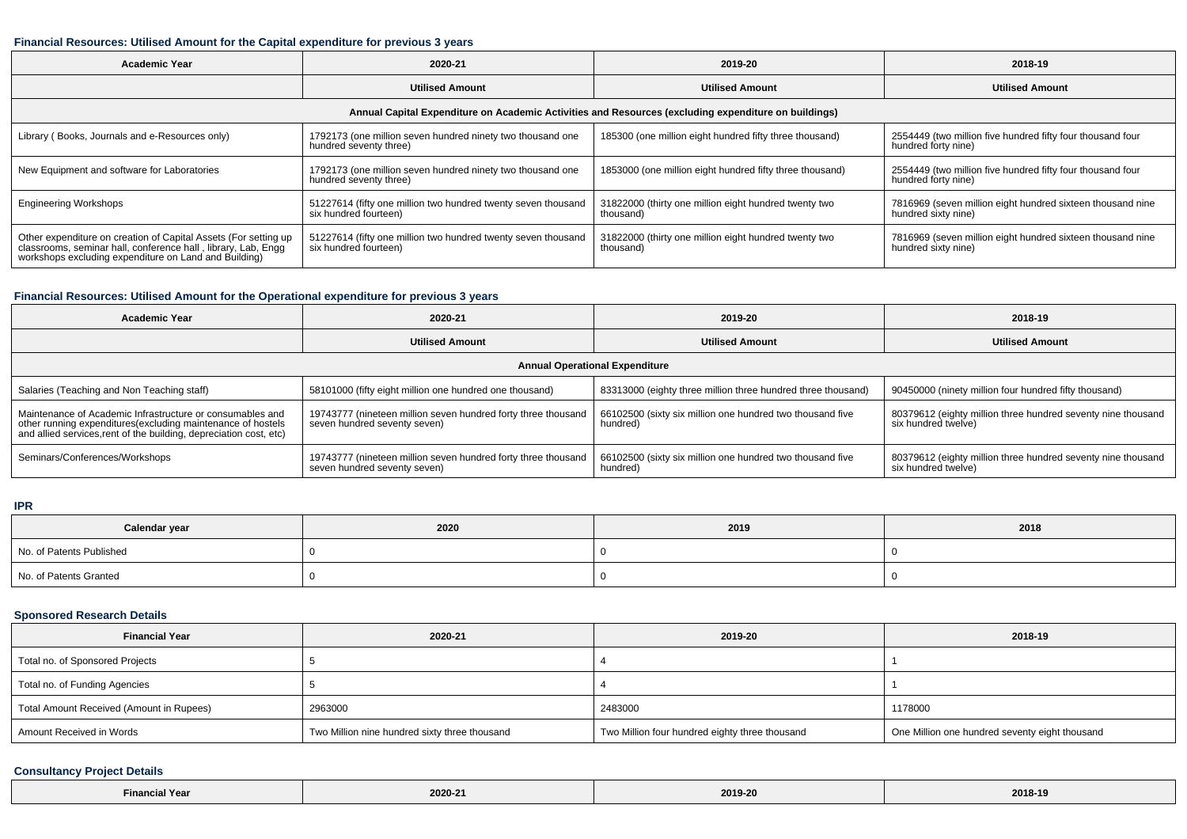#### **Financial Resources: Utilised Amount for the Capital expenditure for previous 3 years**

| <b>Academic Year</b>                                                                                                                                                                      | 2020-21                                                                                | 2019-20                                                            | 2018-19                                                                           |  |  |  |  |  |
|-------------------------------------------------------------------------------------------------------------------------------------------------------------------------------------------|----------------------------------------------------------------------------------------|--------------------------------------------------------------------|-----------------------------------------------------------------------------------|--|--|--|--|--|
|                                                                                                                                                                                           | <b>Utilised Amount</b>                                                                 | <b>Utilised Amount</b>                                             | <b>Utilised Amount</b>                                                            |  |  |  |  |  |
| Annual Capital Expenditure on Academic Activities and Resources (excluding expenditure on buildings)                                                                                      |                                                                                        |                                                                    |                                                                                   |  |  |  |  |  |
| Library (Books, Journals and e-Resources only)                                                                                                                                            | 1792173 (one million seven hundred ninety two thousand one<br>hundred seventy three)   | 185300 (one million eight hundred fifty three thousand)            | 2554449 (two million five hundred fifty four thousand four<br>hundred forty nine) |  |  |  |  |  |
| New Equipment and software for Laboratories                                                                                                                                               | 1792173 (one million seven hundred ninety two thousand one<br>hundred seventy three)   | 1853000 (one million eight hundred fifty three thousand)           | 2554449 (two million five hundred fifty four thousand four<br>hundred forty nine) |  |  |  |  |  |
| <b>Engineering Workshops</b>                                                                                                                                                              | 51227614 (fifty one million two hundred twenty seven thousand<br>six hundred fourteen) | 31822000 (thirty one million eight hundred twenty two<br>thousand) | 7816969 (seven million eight hundred sixteen thousand nine<br>hundred sixty nine) |  |  |  |  |  |
| Other expenditure on creation of Capital Assets (For setting up<br>classrooms, seminar hall, conference hall, library, Lab, Engg<br>workshops excluding expenditure on Land and Building) | 51227614 (fifty one million two hundred twenty seven thousand<br>six hundred fourteen) | 31822000 (thirty one million eight hundred twenty two<br>thousand) | 7816969 (seven million eight hundred sixteen thousand nine<br>hundred sixty nine) |  |  |  |  |  |

## **Financial Resources: Utilised Amount for the Operational expenditure for previous 3 years**

| <b>Academic Year</b>                                                                                                                                                                            | 2020-21                                                                                       | 2019-20                                                               | 2018-19                                                                             |  |  |  |  |  |  |
|-------------------------------------------------------------------------------------------------------------------------------------------------------------------------------------------------|-----------------------------------------------------------------------------------------------|-----------------------------------------------------------------------|-------------------------------------------------------------------------------------|--|--|--|--|--|--|
|                                                                                                                                                                                                 | <b>Utilised Amount</b>                                                                        | <b>Utilised Amount</b>                                                |                                                                                     |  |  |  |  |  |  |
| <b>Annual Operational Expenditure</b>                                                                                                                                                           |                                                                                               |                                                                       |                                                                                     |  |  |  |  |  |  |
| Salaries (Teaching and Non Teaching staff)                                                                                                                                                      | 58101000 (fifty eight million one hundred one thousand)                                       | 83313000 (eighty three million three hundred three thousand)          | 90450000 (ninety million four hundred fifty thousand)                               |  |  |  |  |  |  |
| Maintenance of Academic Infrastructure or consumables and<br>other running expenditures (excluding maintenance of hostels<br>and allied services, rent of the building, depreciation cost, etc) | 19743777 (nineteen million seven hundred forty three thousand<br>seven hundred seventy seven) | 66102500 (sixty six million one hundred two thousand five<br>hundred) | 80379612 (eighty million three hundred seventy nine thousand<br>six hundred twelve) |  |  |  |  |  |  |
| Seminars/Conferences/Workshops                                                                                                                                                                  | 19743777 (nineteen million seven hundred forty three thousand<br>seven hundred seventy seven) | 66102500 (sixty six million one hundred two thousand five<br>hundred) | 80379612 (eighty million three hundred seventy nine thousand<br>six hundred twelve) |  |  |  |  |  |  |

**IPR**

| Calendar year            | 2020 | 2019 | 2018 |
|--------------------------|------|------|------|
| No. of Patents Published |      |      |      |
| No. of Patents Granted   |      |      |      |

### **Sponsored Research Details**

| <b>Financial Year</b>                    | 2020-21                                       | 2019-20                                        | 2018-19                                        |
|------------------------------------------|-----------------------------------------------|------------------------------------------------|------------------------------------------------|
| Total no. of Sponsored Projects          |                                               |                                                |                                                |
| Total no. of Funding Agencies            |                                               |                                                |                                                |
| Total Amount Received (Amount in Rupees) | 2963000                                       | 2483000                                        | 1178000                                        |
| Amount Received in Words                 | Two Million nine hundred sixty three thousand | Two Million four hundred eighty three thousand | One Million one hundred seventy eight thousand |

## **Consultancy Project Details**

| al Year<br>Financial | 2020-21 | <br>2019-20 | 2018-19 |
|----------------------|---------|-------------|---------|
|----------------------|---------|-------------|---------|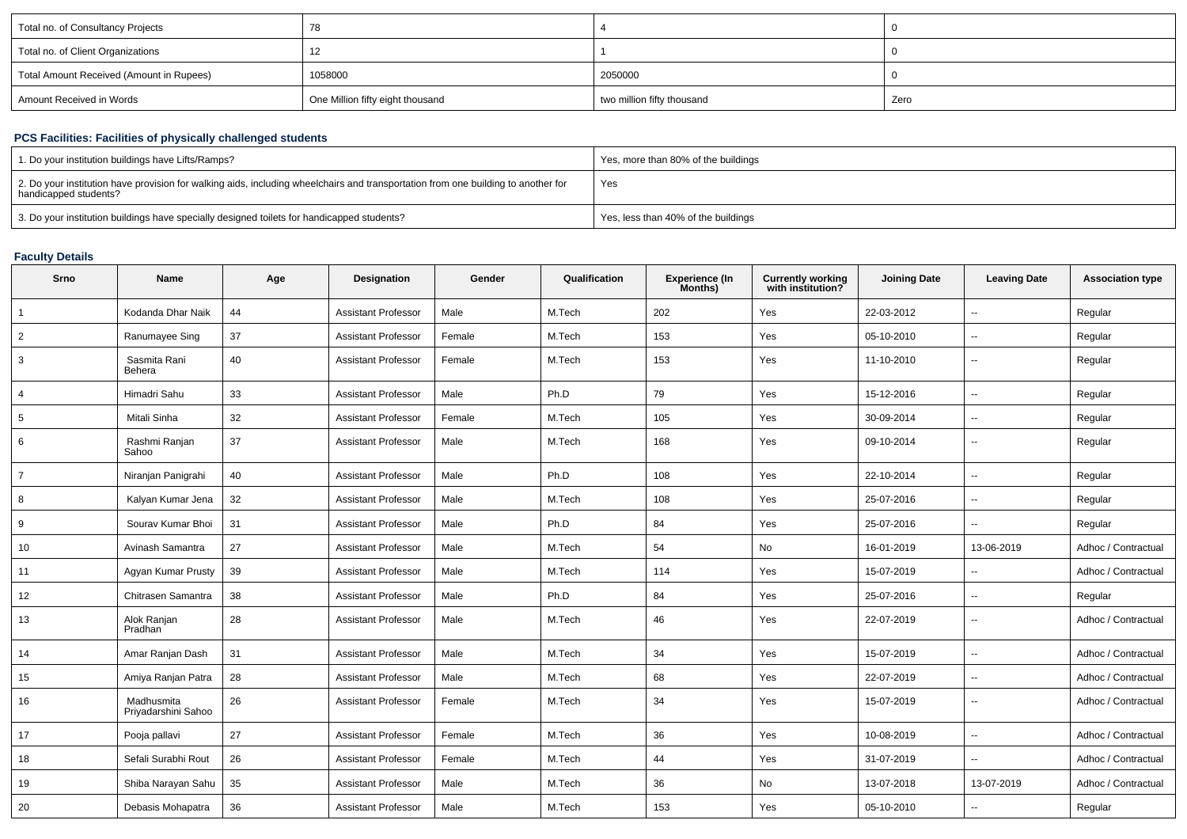| Total no. of Consultancy Projects        | 78                               |                            |      |
|------------------------------------------|----------------------------------|----------------------------|------|
| Total no. of Client Organizations        |                                  |                            |      |
| Total Amount Received (Amount in Rupees) | 1058000                          | 2050000                    |      |
| Amount Received in Words                 | One Million fifty eight thousand | two million fifty thousand | Zero |

## **PCS Facilities: Facilities of physically challenged students**

| 1. Do your institution buildings have Lifts/Ramps?                                                                                                         | Yes, more than 80% of the buildings |
|------------------------------------------------------------------------------------------------------------------------------------------------------------|-------------------------------------|
| 2. Do your institution have provision for walking aids, including wheelchairs and transportation from one building to another for<br>handicapped students? | Yes                                 |
| 3. Do your institution buildings have specially designed toilets for handicapped students?                                                                 | Yes, less than 40% of the buildings |

#### **Faculty Details**

| Srno           | <b>Name</b>                       | Age | Designation                | Gender | Qualification | <b>Experience (In</b><br>Months) | <b>Currently working</b><br>with institution? | <b>Joining Date</b> | <b>Leaving Date</b>      | <b>Association type</b> |
|----------------|-----------------------------------|-----|----------------------------|--------|---------------|----------------------------------|-----------------------------------------------|---------------------|--------------------------|-------------------------|
| $\mathbf{1}$   | Kodanda Dhar Naik                 | 44  | <b>Assistant Professor</b> | Male   | M.Tech        | 202                              | Yes                                           | 22-03-2012          | $\ddotsc$                | Regular                 |
| $\overline{2}$ | Ranumayee Sing                    | 37  | <b>Assistant Professor</b> | Female | M.Tech        | 153                              | Yes                                           | 05-10-2010          | $\overline{\phantom{a}}$ | Regular                 |
| 3              | Sasmita Rani<br>Behera            | 40  | <b>Assistant Professor</b> | Female | M.Tech        | 153                              | Yes                                           | 11-10-2010          | $\sim$                   | Regular                 |
| 4              | Himadri Sahu                      | 33  | <b>Assistant Professor</b> | Male   | Ph.D          | 79                               | Yes                                           | 15-12-2016          | $\sim$                   | Regular                 |
| 5              | Mitali Sinha                      | 32  | <b>Assistant Professor</b> | Female | M.Tech        | 105                              | Yes                                           | 30-09-2014          | $\sim$                   | Regular                 |
| 6              | Rashmi Ranjan<br>Sahoo            | 37  | <b>Assistant Professor</b> | Male   | M.Tech        | 168                              | Yes                                           | 09-10-2014          | $\overline{\phantom{a}}$ | Regular                 |
| $\overline{7}$ | Niranjan Panigrahi                | 40  | <b>Assistant Professor</b> | Male   | Ph.D          | 108                              | Yes                                           | 22-10-2014          | $\sim$                   | Regular                 |
| 8              | Kalyan Kumar Jena                 | 32  | <b>Assistant Professor</b> | Male   | M.Tech        | 108                              | Yes                                           | 25-07-2016          | $\overline{\phantom{a}}$ | Regular                 |
| 9              | Sourav Kumar Bhoi                 | 31  | Assistant Professor        | Male   | Ph.D          | 84                               | Yes                                           | 25-07-2016          | $\mathbf{u}$             | Regular                 |
| 10             | Avinash Samantra                  | 27  | <b>Assistant Professor</b> | Male   | M.Tech        | 54                               | No                                            | 16-01-2019          | 13-06-2019               | Adhoc / Contractual     |
| 11             | Agyan Kumar Prusty                | 39  | <b>Assistant Professor</b> | Male   | M.Tech        | 114                              | Yes                                           | 15-07-2019          | $\overline{a}$           | Adhoc / Contractual     |
| 12             | Chitrasen Samantra                | 38  | <b>Assistant Professor</b> | Male   | Ph.D          | 84                               | Yes                                           | 25-07-2016          | $\sim$                   | Regular                 |
| 13             | Alok Ranjan<br>Pradhan            | 28  | <b>Assistant Professor</b> | Male   | M.Tech        | 46                               | Yes                                           | 22-07-2019          | $\sim$                   | Adhoc / Contractual     |
| 14             | Amar Ranjan Dash                  | 31  | <b>Assistant Professor</b> | Male   | M.Tech        | 34                               | Yes                                           | 15-07-2019          | $\ddotsc$                | Adhoc / Contractual     |
| 15             | Amiya Ranjan Patra                | 28  | <b>Assistant Professor</b> | Male   | M.Tech        | 68                               | Yes                                           | 22-07-2019          | $\sim$                   | Adhoc / Contractual     |
| 16             | Madhusmita<br>Priyadarshini Sahoo | 26  | <b>Assistant Professor</b> | Female | M.Tech        | 34                               | Yes                                           | 15-07-2019          | $\sim$                   | Adhoc / Contractual     |
| 17             | Pooja pallavi                     | 27  | <b>Assistant Professor</b> | Female | M.Tech        | 36                               | Yes                                           | 10-08-2019          | $\overline{\phantom{a}}$ | Adhoc / Contractual     |
| 18             | Sefali Surabhi Rout               | 26  | <b>Assistant Professor</b> | Female | M.Tech        | 44                               | Yes                                           | 31-07-2019          | $\sim$                   | Adhoc / Contractual     |
| 19             | Shiba Narayan Sahu                | 35  | <b>Assistant Professor</b> | Male   | M.Tech        | 36                               | No                                            | 13-07-2018          | 13-07-2019               | Adhoc / Contractual     |
| 20             | Debasis Mohapatra                 | 36  | <b>Assistant Professor</b> | Male   | M.Tech        | 153                              | Yes                                           | 05-10-2010          | $\overline{a}$           | Regular                 |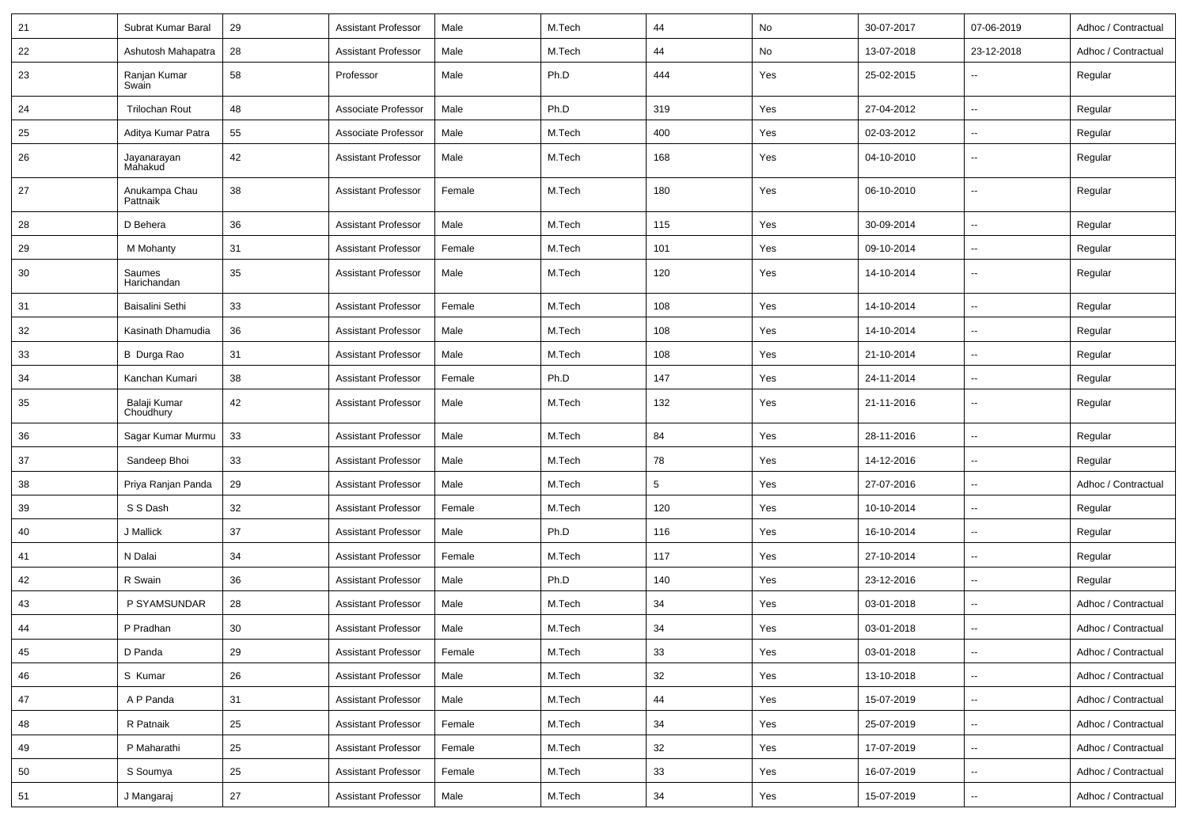| 21 | Subrat Kumar Baral        | 29     | Assistant Professor        | Male   | M.Tech | 44  | No  | 30-07-2017 | 07-06-2019               | Adhoc / Contractual |
|----|---------------------------|--------|----------------------------|--------|--------|-----|-----|------------|--------------------------|---------------------|
| 22 | Ashutosh Mahapatra        | 28     | <b>Assistant Professor</b> | Male   | M.Tech | 44  | No  | 13-07-2018 | 23-12-2018               | Adhoc / Contractual |
| 23 | Ranjan Kumar<br>Swain     | 58     | Professor                  | Male   | Ph.D   | 444 | Yes | 25-02-2015 |                          | Regular             |
| 24 | <b>Trilochan Rout</b>     | 48     | Associate Professor        | Male   | Ph.D   | 319 | Yes | 27-04-2012 | $\sim$                   | Regular             |
| 25 | Aditya Kumar Patra        | 55     | Associate Professor        | Male   | M.Tech | 400 | Yes | 02-03-2012 | $\sim$                   | Regular             |
| 26 | Jayanarayan<br>Mahakud    | 42     | <b>Assistant Professor</b> | Male   | M.Tech | 168 | Yes | 04-10-2010 | $\sim$                   | Regular             |
| 27 | Anukampa Chau<br>Pattnaik | 38     | <b>Assistant Professor</b> | Female | M.Tech | 180 | Yes | 06-10-2010 | $\sim$                   | Regular             |
| 28 | D Behera                  | 36     | <b>Assistant Professor</b> | Male   | M.Tech | 115 | Yes | 30-09-2014 | $\sim$                   | Regular             |
| 29 | M Mohanty                 | 31     | Assistant Professor        | Female | M.Tech | 101 | Yes | 09-10-2014 | $\overline{\phantom{a}}$ | Regular             |
| 30 | Saumes<br>Harichandan     | 35     | Assistant Professor        | Male   | M.Tech | 120 | Yes | 14-10-2014 | $\overline{\phantom{a}}$ | Regular             |
| 31 | Baisalini Sethi           | 33     | <b>Assistant Professor</b> | Female | M.Tech | 108 | Yes | 14-10-2014 | $\sim$                   | Regular             |
| 32 | Kasinath Dhamudia         | 36     | Assistant Professor        | Male   | M.Tech | 108 | Yes | 14-10-2014 | $\sim$                   | Regular             |
| 33 | <b>B</b> Durga Rao        | 31     | <b>Assistant Professor</b> | Male   | M.Tech | 108 | Yes | 21-10-2014 | $\sim$                   | Regular             |
| 34 | Kanchan Kumari            | 38     | <b>Assistant Professor</b> | Female | Ph.D   | 147 | Yes | 24-11-2014 | $\sim$                   | Regular             |
| 35 | Balaji Kumar<br>Choudhury | 42     | <b>Assistant Professor</b> | Male   | M.Tech | 132 | Yes | 21-11-2016 | $\sim$                   | Regular             |
| 36 | Sagar Kumar Murmu         | 33     | <b>Assistant Professor</b> | Male   | M.Tech | 84  | Yes | 28-11-2016 | $\sim$                   | Regular             |
| 37 | Sandeep Bhoi              | 33     | Assistant Professor        | Male   | M.Tech | 78  | Yes | 14-12-2016 | $\sim$                   | Regular             |
| 38 | Priya Ranjan Panda        | 29     | <b>Assistant Professor</b> | Male   | M.Tech | 5   | Yes | 27-07-2016 | $\overline{\phantom{a}}$ | Adhoc / Contractual |
| 39 | S S Dash                  | 32     | <b>Assistant Professor</b> | Female | M.Tech | 120 | Yes | 10-10-2014 | $\sim$                   | Regular             |
| 40 | J Mallick                 | 37     | <b>Assistant Professor</b> | Male   | Ph.D   | 116 | Yes | 16-10-2014 | $\overline{\phantom{a}}$ | Regular             |
| 41 | N Dalai                   | 34     | Assistant Professor        | Female | M.Tech | 117 | Yes | 27-10-2014 | $\sim$                   | Regular             |
| 42 | R Swain                   | 36     | <b>Assistant Professor</b> | Male   | Ph.D   | 140 | Yes | 23-12-2016 | $\sim$                   | Regular             |
| 43 | P SYAMSUNDAR              | 28     | <b>Assistant Professor</b> | Male   | M.Tech | 34  | Yes | 03-01-2018 | $\sim$                   | Adhoc / Contractual |
| 44 | P Pradhan                 | 30     | <b>Assistant Professor</b> | Male   | M.Tech | 34  | Yes | 03-01-2018 | $\overline{\phantom{a}}$ | Adhoc / Contractual |
| 45 | D Panda                   | 29     | <b>Assistant Professor</b> | Female | M.Tech | 33  | Yes | 03-01-2018 | $\rightarrow$            | Adhoc / Contractual |
| 46 | S Kumar                   | 26     | <b>Assistant Professor</b> | Male   | M.Tech | 32  | Yes | 13-10-2018 | $\ddot{\phantom{a}}$     | Adhoc / Contractual |
| 47 | A P Panda                 | 31     | <b>Assistant Professor</b> | Male   | M.Tech | 44  | Yes | 15-07-2019 | $\sim$                   | Adhoc / Contractual |
| 48 | R Patnaik                 | 25     | <b>Assistant Professor</b> | Female | M.Tech | 34  | Yes | 25-07-2019 | $\sim$                   | Adhoc / Contractual |
| 49 | P Maharathi               | 25     | <b>Assistant Professor</b> | Female | M.Tech | 32  | Yes | 17-07-2019 | $\sim$                   | Adhoc / Contractual |
| 50 | S Soumya                  | 25     | <b>Assistant Professor</b> | Female | M.Tech | 33  | Yes | 16-07-2019 | $\overline{\phantom{a}}$ | Adhoc / Contractual |
| 51 | J Mangaraj                | $27\,$ | <b>Assistant Professor</b> | Male   | M.Tech | 34  | Yes | 15-07-2019 | $\sim$                   | Adhoc / Contractual |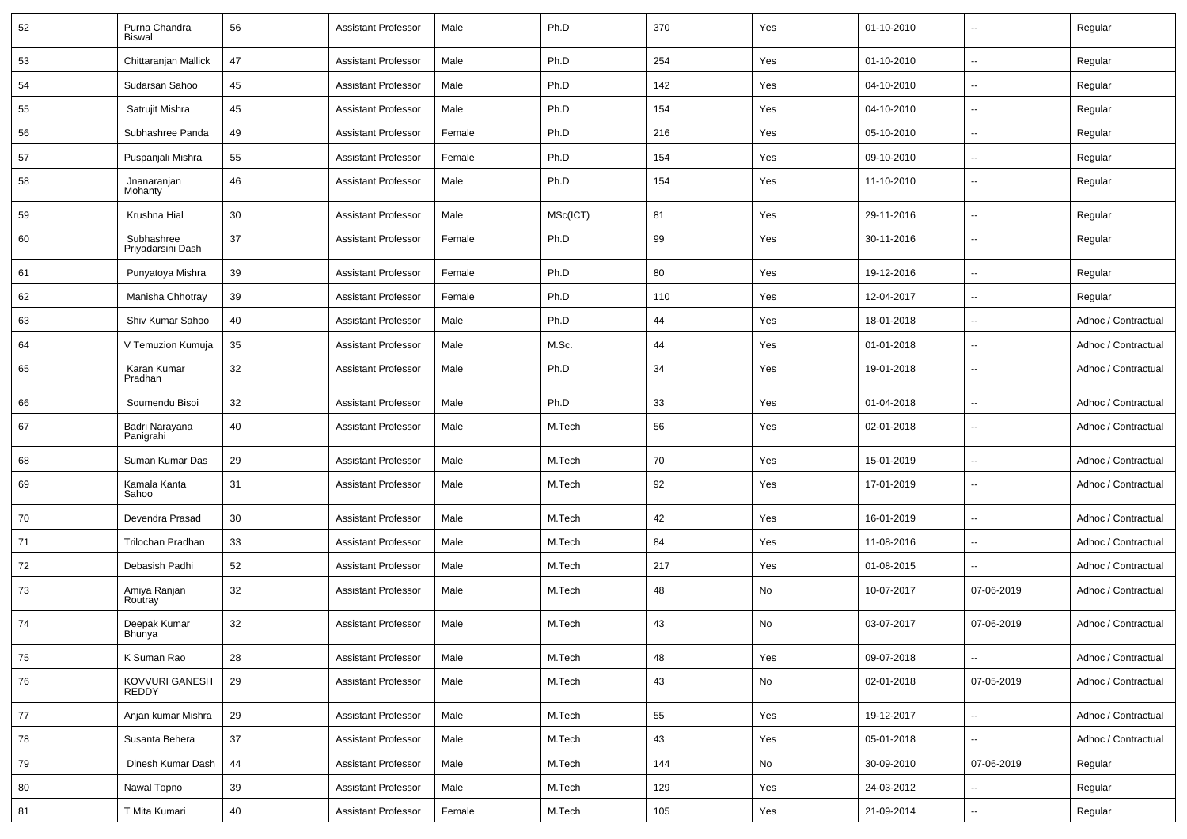| 52 | Purna Chandra<br><b>Biswal</b>  | 56 | <b>Assistant Professor</b> | Male   | Ph.D     | 370 | Yes | 01-10-2010 | ۰.             | Regular             |
|----|---------------------------------|----|----------------------------|--------|----------|-----|-----|------------|----------------|---------------------|
| 53 | Chittaranjan Mallick            | 47 | <b>Assistant Professor</b> | Male   | Ph.D     | 254 | Yes | 01-10-2010 | u.             | Regular             |
| 54 | Sudarsan Sahoo                  | 45 | <b>Assistant Professor</b> | Male   | Ph.D     | 142 | Yes | 04-10-2010 | $\overline{a}$ | Regular             |
| 55 | Satrujit Mishra                 | 45 | <b>Assistant Professor</b> | Male   | Ph.D     | 154 | Yes | 04-10-2010 | $\overline{a}$ | Regular             |
| 56 | Subhashree Panda                | 49 | <b>Assistant Professor</b> | Female | Ph.D     | 216 | Yes | 05-10-2010 | $\overline{a}$ | Regular             |
| 57 | Puspanjali Mishra               | 55 | <b>Assistant Professor</b> | Female | Ph.D     | 154 | Yes | 09-10-2010 | $\overline{a}$ | Regular             |
| 58 | Jnanaranjan<br>Mohanty          | 46 | <b>Assistant Professor</b> | Male   | Ph.D     | 154 | Yes | 11-10-2010 | $\overline{a}$ | Regular             |
| 59 | Krushna Hial                    | 30 | <b>Assistant Professor</b> | Male   | MSc(ICT) | 81  | Yes | 29-11-2016 | $\overline{a}$ | Regular             |
| 60 | Subhashree<br>Priyadarsini Dash | 37 | <b>Assistant Professor</b> | Female | Ph.D     | 99  | Yes | 30-11-2016 | $\overline{a}$ | Regular             |
| 61 | Punyatoya Mishra                | 39 | <b>Assistant Professor</b> | Female | Ph.D     | 80  | Yes | 19-12-2016 | Ξ.             | Regular             |
| 62 | Manisha Chhotray                | 39 | <b>Assistant Professor</b> | Female | Ph.D     | 110 | Yes | 12-04-2017 | ۰.             | Regular             |
| 63 | Shiv Kumar Sahoo                | 40 | <b>Assistant Professor</b> | Male   | Ph.D     | 44  | Yes | 18-01-2018 | $\overline{a}$ | Adhoc / Contractual |
| 64 | V Temuzion Kumuja               | 35 | <b>Assistant Professor</b> | Male   | M.Sc.    | 44  | Yes | 01-01-2018 | $\overline{a}$ | Adhoc / Contractual |
| 65 | Karan Kumar<br>Pradhan          | 32 | <b>Assistant Professor</b> | Male   | Ph.D     | 34  | Yes | 19-01-2018 | ۰.             | Adhoc / Contractual |
| 66 | Soumendu Bisoi                  | 32 | <b>Assistant Professor</b> | Male   | Ph.D     | 33  | Yes | 01-04-2018 | $\overline{a}$ | Adhoc / Contractual |
| 67 | Badri Narayana<br>Panigrahi     | 40 | <b>Assistant Professor</b> | Male   | M.Tech   | 56  | Yes | 02-01-2018 | ۰.             | Adhoc / Contractual |
| 68 | Suman Kumar Das                 | 29 | <b>Assistant Professor</b> | Male   | M.Tech   | 70  | Yes | 15-01-2019 | u.             | Adhoc / Contractual |
| 69 | Kamala Kanta<br>Sahoo           | 31 | <b>Assistant Professor</b> | Male   | M.Tech   | 92  | Yes | 17-01-2019 | $\overline{a}$ | Adhoc / Contractual |
| 70 | Devendra Prasad                 | 30 | <b>Assistant Professor</b> | Male   | M.Tech   | 42  | Yes | 16-01-2019 | $\overline{a}$ | Adhoc / Contractual |
| 71 | Trilochan Pradhan               | 33 | <b>Assistant Professor</b> | Male   | M.Tech   | 84  | Yes | 11-08-2016 | $\overline{a}$ | Adhoc / Contractual |
| 72 | Debasish Padhi                  | 52 | <b>Assistant Professor</b> | Male   | M.Tech   | 217 | Yes | 01-08-2015 | ۰.             | Adhoc / Contractual |
| 73 | Amiya Ranjan<br>Routray         | 32 | <b>Assistant Professor</b> | Male   | M.Tech   | 48  | No  | 10-07-2017 | 07-06-2019     | Adhoc / Contractual |
| 74 | Deepak Kumar<br>Bhunya          | 32 | <b>Assistant Professor</b> | Male   | M.Tech   | 43  | No  | 03-07-2017 | 07-06-2019     | Adhoc / Contractual |
| 75 | K Suman Rao                     | 28 | <b>Assistant Professor</b> | Male   | M.Tech   | 48  | Yes | 09-07-2018 | Ξ.             | Adhoc / Contractual |
| 76 | KOVVURI GANESH<br>REDDY         | 29 | <b>Assistant Professor</b> | Male   | M.Tech   | 43  | No  | 02-01-2018 | 07-05-2019     | Adhoc / Contractual |
| 77 | Anjan kumar Mishra              | 29 | <b>Assistant Professor</b> | Male   | M.Tech   | 55  | Yes | 19-12-2017 | --             | Adhoc / Contractual |
| 78 | Susanta Behera                  | 37 | <b>Assistant Professor</b> | Male   | M.Tech   | 43  | Yes | 05-01-2018 | Ξ.             | Adhoc / Contractual |
| 79 | Dinesh Kumar Dash               | 44 | <b>Assistant Professor</b> | Male   | M.Tech   | 144 | No  | 30-09-2010 | 07-06-2019     | Regular             |
| 80 | Nawal Topno                     | 39 | <b>Assistant Professor</b> | Male   | M.Tech   | 129 | Yes | 24-03-2012 | Ξ.             | Regular             |
| 81 | T Mita Kumari                   | 40 | <b>Assistant Professor</b> | Female | M.Tech   | 105 | Yes | 21-09-2014 | --             | Regular             |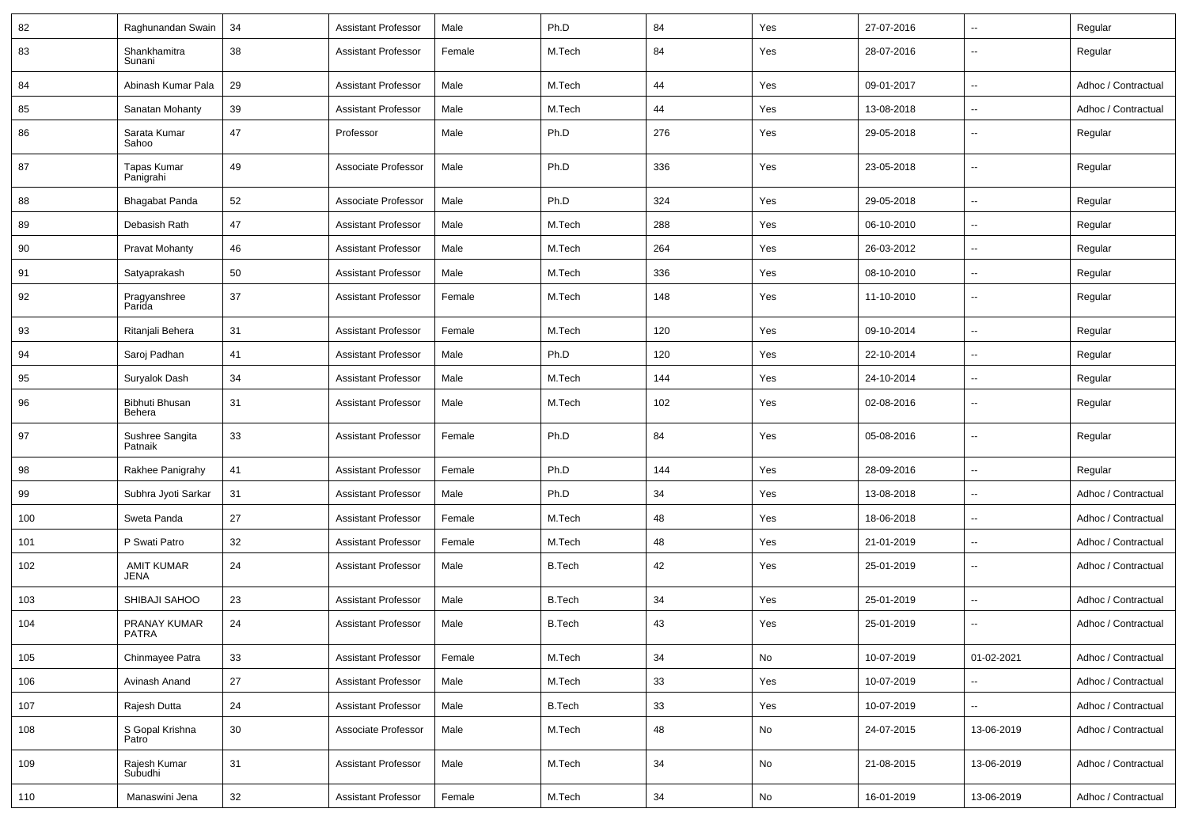| 82  | Raghunandan Swain                | 34     | <b>Assistant Professor</b> | Male   | Ph.D          | 84     | Yes           | 27-07-2016 | $\overline{\phantom{a}}$ | Regular             |
|-----|----------------------------------|--------|----------------------------|--------|---------------|--------|---------------|------------|--------------------------|---------------------|
| 83  | Shankhamitra<br>Sunani           | 38     | <b>Assistant Professor</b> | Female | M.Tech        | 84     | Yes           | 28-07-2016 | $\overline{\phantom{a}}$ | Regular             |
| 84  | Abinash Kumar Pala               | 29     | <b>Assistant Professor</b> | Male   | M.Tech        | 44     | Yes           | 09-01-2017 | $\overline{\phantom{a}}$ | Adhoc / Contractual |
| 85  | Sanatan Mohanty                  | 39     | <b>Assistant Professor</b> | Male   | M.Tech        | 44     | Yes           | 13-08-2018 | $\sim$                   | Adhoc / Contractual |
| 86  | Sarata Kumar<br>Sahoo            | 47     | Professor                  | Male   | Ph.D          | 276    | Yes           | 29-05-2018 | $\overline{\phantom{a}}$ | Regular             |
| 87  | <b>Tapas Kumar</b><br>Panigrahi  | 49     | Associate Professor        | Male   | Ph.D          | 336    | Yes           | 23-05-2018 | $\overline{\phantom{a}}$ | Regular             |
| 88  | Bhagabat Panda                   | 52     | Associate Professor        | Male   | Ph.D          | 324    | Yes           | 29-05-2018 | $\overline{\phantom{a}}$ | Regular             |
| 89  | Debasish Rath                    | 47     | <b>Assistant Professor</b> | Male   | M.Tech        | 288    | Yes           | 06-10-2010 | $\overline{\phantom{a}}$ | Regular             |
| 90  | <b>Pravat Mohanty</b>            | 46     | <b>Assistant Professor</b> | Male   | M.Tech        | 264    | Yes           | 26-03-2012 | $\ddot{\phantom{a}}$     | Regular             |
| 91  | Satyaprakash                     | 50     | <b>Assistant Professor</b> | Male   | M.Tech        | 336    | Yes           | 08-10-2010 | $\overline{\phantom{a}}$ | Regular             |
| 92  | Pragyanshree<br>Parida           | 37     | <b>Assistant Professor</b> | Female | M.Tech        | 148    | Yes           | 11-10-2010 | $\overline{\phantom{a}}$ | Regular             |
| 93  | Ritanjali Behera                 | 31     | <b>Assistant Professor</b> | Female | M.Tech        | 120    | Yes           | 09-10-2014 | $\overline{\phantom{a}}$ | Regular             |
| 94  | Saroj Padhan                     | 41     | <b>Assistant Professor</b> | Male   | Ph.D          | 120    | Yes           | 22-10-2014 | $\overline{\phantom{a}}$ | Regular             |
| 95  | Suryalok Dash                    | 34     | <b>Assistant Professor</b> | Male   | M.Tech        | 144    | Yes           | 24-10-2014 | $\overline{\phantom{a}}$ | Regular             |
| 96  | Bibhuti Bhusan<br>Behera         | 31     | <b>Assistant Professor</b> | Male   | M.Tech        | 102    | Yes           | 02-08-2016 | $\overline{\phantom{a}}$ | Regular             |
| 97  | Sushree Sangita<br>Patnaik       | 33     | <b>Assistant Professor</b> | Female | Ph.D          | 84     | Yes           | 05-08-2016 | $\overline{\phantom{a}}$ | Regular             |
| 98  | Rakhee Panigrahy                 | 41     | <b>Assistant Professor</b> | Female | Ph.D          | 144    | Yes           | 28-09-2016 | $\overline{\phantom{a}}$ | Regular             |
| 99  | Subhra Jyoti Sarkar              | 31     | <b>Assistant Professor</b> | Male   | Ph.D          | 34     | Yes           | 13-08-2018 | $\ddot{\phantom{a}}$     | Adhoc / Contractual |
| 100 | Sweta Panda                      | 27     | <b>Assistant Professor</b> | Female | M.Tech        | 48     | Yes           | 18-06-2018 | $\overline{\phantom{a}}$ | Adhoc / Contractual |
| 101 | P Swati Patro                    | 32     | <b>Assistant Professor</b> | Female | M.Tech        | 48     | Yes           | 21-01-2019 | $\overline{\phantom{a}}$ | Adhoc / Contractual |
| 102 | <b>AMIT KUMAR</b><br><b>JENA</b> | 24     | <b>Assistant Professor</b> | Male   | <b>B.Tech</b> | 42     | Yes           | 25-01-2019 | $\overline{\phantom{a}}$ | Adhoc / Contractual |
| 103 | SHIBAJI SAHOO                    | 23     | Assistant Professor        | Male   | <b>B.Tech</b> | 34     | Yes           | 25-01-2019 | $\overline{\phantom{a}}$ | Adhoc / Contractual |
| 104 | PRANAY KUMAR<br><b>PATRA</b>     | 24     | <b>Assistant Professor</b> | Male   | <b>B.Tech</b> | 43     | Yes           | 25-01-2019 | $\overline{\phantom{a}}$ | Adhoc / Contractual |
| 105 | Chinmayee Patra                  | $33\,$ | Assistant Professor        | Female | M.Tech        | 34     | ${\sf No}$    | 10-07-2019 | 01-02-2021               | Adhoc / Contractual |
| 106 | Avinash Anand                    | 27     | <b>Assistant Professor</b> | Male   | M.Tech        | 33     | Yes           | 10-07-2019 | $\overline{\phantom{a}}$ | Adhoc / Contractual |
| 107 | Rajesh Dutta                     | 24     | <b>Assistant Professor</b> | Male   | <b>B.Tech</b> | 33     | Yes           | 10-07-2019 | $\overline{\phantom{a}}$ | Adhoc / Contractual |
| 108 | S Gopal Krishna<br>Patro         | 30     | Associate Professor        | Male   | M.Tech        | 48     | No            | 24-07-2015 | 13-06-2019               | Adhoc / Contractual |
| 109 | Rajesh Kumar<br>Subudhi          | 31     | <b>Assistant Professor</b> | Male   | M.Tech        | 34     | No            | 21-08-2015 | 13-06-2019               | Adhoc / Contractual |
| 110 | Manaswini Jena                   | $32\,$ | <b>Assistant Professor</b> | Female | M.Tech        | $34\,$ | $\mathsf{No}$ | 16-01-2019 | 13-06-2019               | Adhoc / Contractual |